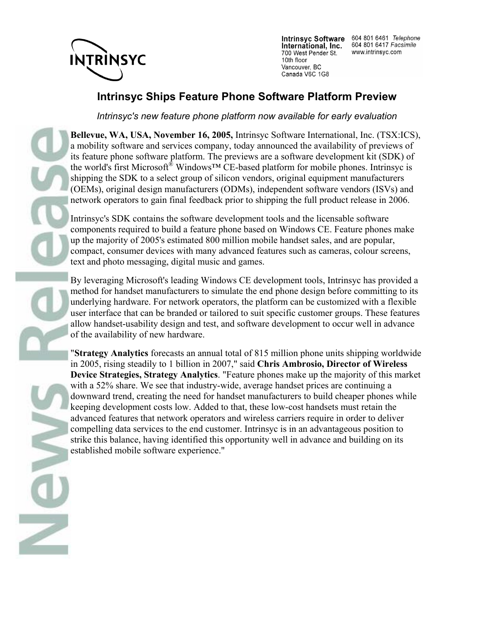

**Intrinsyc Software** International, Inc. 700 West Pender St. 10th floor Vancouver, BC Canada V6C 1G8

604 801 6461 Telephone 604 801 6417 Facsimile www.intrinsyc.com

## **Intrinsyc Ships Feature Phone Software Platform Preview**

*Intrinsyc's new feature phone platform now available for early evaluation*

**Bellevue, WA, USA, November 16, 2005,** Intrinsyc Software International, Inc. (TSX:ICS), a mobility software and services company, today announced the availability of previews of its feature phone software platform. The previews are a software development kit (SDK) of the world's first Microsoft® Windows™ CE-based platform for mobile phones. Intrinsyc is shipping the SDK to a select group of silicon vendors, original equipment manufacturers (OEMs), original design manufacturers (ODMs), independent software vendors (ISVs) and network operators to gain final feedback prior to shipping the full product release in 2006.

Intrinsyc's SDK contains the software development tools and the licensable software components required to build a feature phone based on Windows CE. Feature phones make up the majority of 2005's estimated 800 million mobile handset sales, and are popular, compact, consumer devices with many advanced features such as cameras, colour screens, text and photo messaging, digital music and games.

By leveraging Microsoft's leading Windows CE development tools, Intrinsyc has provided a method for handset manufacturers to simulate the end phone design before committing to its underlying hardware. For network operators, the platform can be customized with a flexible user interface that can be branded or tailored to suit specific customer groups. These features allow handset-usability design and test, and software development to occur well in advance of the availability of new hardware.

"**Strategy Analytics** forecasts an annual total of 815 million phone units shipping worldwide in 2005, rising steadily to 1 billion in 2007," said **Chris Ambrosio, Director of Wireless Device Strategies, Strategy Analytics**. "Feature phones make up the majority of this market with a 52% share. We see that industry-wide, average handset prices are continuing a downward trend, creating the need for handset manufacturers to build cheaper phones while keeping development costs low. Added to that, these low-cost handsets must retain the advanced features that network operators and wireless carriers require in order to deliver compelling data services to the end customer. Intrinsyc is in an advantageous position to strike this balance, having identified this opportunity well in advance and building on its established mobile software experience."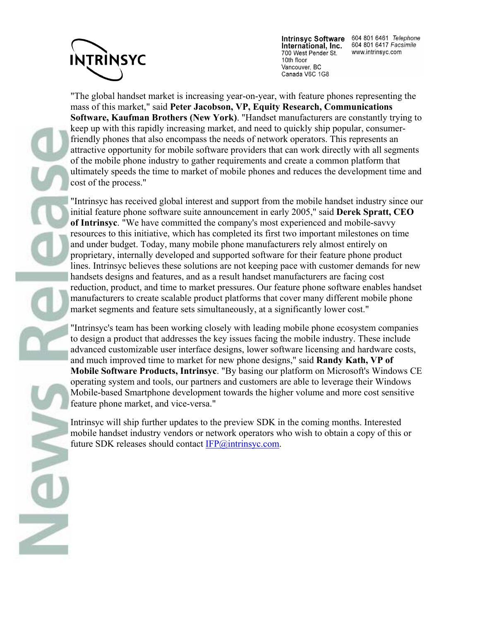

International, Inc. 700 West Pender St. 10th floor Vancouver, BC Canada V6C 1G8

Intrinsyc Software 604 801 6461 Telephone 604 801 6417 Facsimile www.intrinsyc.com

"The global handset market is increasing year-on-year, with feature phones representing the mass of this market," said **Peter Jacobson, VP, Equity Research, Communications Software, Kaufman Brothers (New York)**. "Handset manufacturers are constantly trying to keep up with this rapidly increasing market, and need to quickly ship popular, consumerfriendly phones that also encompass the needs of network operators. This represents an attractive opportunity for mobile software providers that can work directly with all segments of the mobile phone industry to gather requirements and create a common platform that ultimately speeds the time to market of mobile phones and reduces the development time and cost of the process."

"Intrinsyc has received global interest and support from the mobile handset industry since our initial feature phone software suite announcement in early 2005," said **Derek Spratt, CEO of Intrinsyc**. "We have committed the company's most experienced and mobile-savvy resources to this initiative, which has completed its first two important milestones on time and under budget. Today, many mobile phone manufacturers rely almost entirely on proprietary, internally developed and supported software for their feature phone product lines. Intrinsyc believes these solutions are not keeping pace with customer demands for new handsets designs and features, and as a result handset manufacturers are facing cost reduction, product, and time to market pressures. Our feature phone software enables handset manufacturers to create scalable product platforms that cover many different mobile phone market segments and feature sets simultaneously, at a significantly lower cost."

"Intrinsyc's team has been working closely with leading mobile phone ecosystem companies to design a product that addresses the key issues facing the mobile industry. These include advanced customizable user interface designs, lower software licensing and hardware costs, and much improved time to market for new phone designs," said **Randy Kath, VP of Mobile Software Products, Intrinsyc**. "By basing our platform on Microsoft's Windows CE operating system and tools, our partners and customers are able to leverage their Windows Mobile-based Smartphone development towards the higher volume and more cost sensitive feature phone market, and vice-versa."

Intrinsyc will ship further updates to the preview SDK in the coming months. Interested mobile handset industry vendors or network operators who wish to obtain a copy of this or future SDK releases should contact IFP@intrinsyc.com.